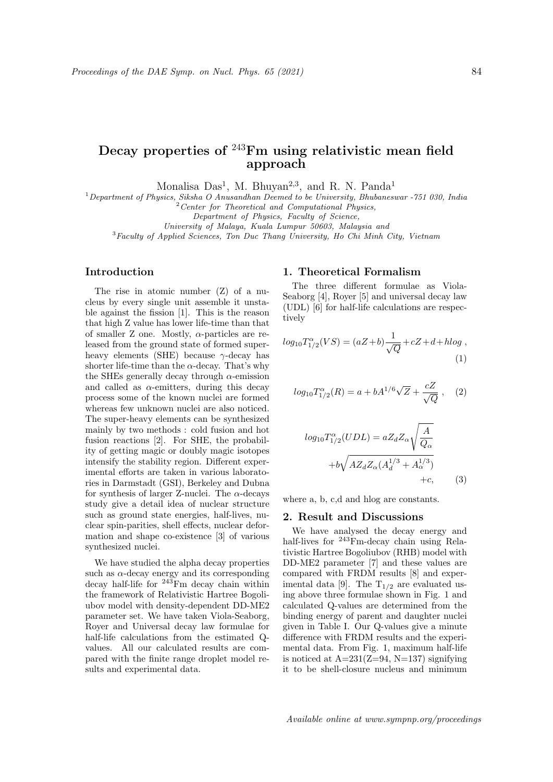# Decay properties of <sup>243</sup>Fm using relativistic mean field approach

Monalisa Das<sup>1</sup>, M. Bhuyan<sup>2,3</sup>, and R. N. Panda<sup>1</sup>

 $1$ Department of Physics, Siksha O Anusandhan Deemed to be University, Bhubaneswar -751 030, India

 $2$  Center for Theoretical and Computational Physics,

Department of Physics, Faculty of Science,

University of Malaya, Kuala Lumpur 50603, Malaysia and

<sup>3</sup>Faculty of Applied Sciences, Ton Duc Thang University, Ho Chi Minh City, Vietnam

# Introduction

The rise in atomic number (Z) of a nucleus by every single unit assemble it unstable against the fission [1]. This is the reason that high Z value has lower life-time than that of smaller Z one. Mostly,  $\alpha$ -particles are released from the ground state of formed superheavy elements (SHE) because  $\gamma$ -decay has shorter life-time than the  $\alpha$ -decay. That's why the SHEs generally decay through  $\alpha$ -emission and called as  $\alpha$ -emitters, during this decay process some of the known nuclei are formed whereas few unknown nuclei are also noticed. The super-heavy elements can be synthesized mainly by two methods : cold fusion and hot fusion reactions [2]. For SHE, the probability of getting magic or doubly magic isotopes intensify the stability region. Different experimental efforts are taken in various laboratories in Darmstadt (GSI), Berkeley and Dubna for synthesis of larger Z-nuclei. The  $\alpha$ -decays study give a detail idea of nuclear structure such as ground state energies, half-lives, nuclear spin-parities, shell effects, nuclear deformation and shape co-existence [3] of various synthesized nuclei.

We have studied the alpha decay properties such as  $\alpha$ -decay energy and its corresponding decay half-life for  $243$ Fm decay chain within the framework of Relativistic Hartree Bogoliubov model with density-dependent DD-ME2 parameter set. We have taken Viola-Seaborg, Royer and Universal decay law formulae for half-life calculations from the estimated Qvalues. All our calculated results are compared with the finite range droplet model results and experimental data.

## 1. Theoretical Formalism

The three different formulae as Viola-Seaborg [4], Royer [5] and universal decay law (UDL) [6] for half-life calculations are respectively

$$
log_{10}T_{1/2}^{\alpha}(VS) = (aZ + b)\frac{1}{\sqrt{Q}} + cZ + d + hlog ,
$$
\n(1)

$$
log_{10}T_{1/2}^{\alpha}(R) = a + bA^{1/6}\sqrt{Z} + \frac{cZ}{\sqrt{Q}} ,
$$
 (2)

$$
log_{10}T_{1/2}^{\alpha}(UDL) = aZ_dZ_{\alpha}\sqrt{\frac{A}{Q_{\alpha}}}
$$

$$
+b\sqrt{AZ_dZ_{\alpha}(A_d^{1/3} + A_{\alpha}^{1/3})}
$$

$$
+c,
$$
 (3)

where a, b, c,d and hlog are constants.

#### 2. Result and Discussions

We have analysed the decay energy and half-lives for <sup>243</sup>Fm-decay chain using Relativistic Hartree Bogoliubov (RHB) model with DD-ME2 parameter [7] and these values are compared with FRDM results [8] and experimental data [9]. The  $T_{1/2}$  are evaluated using above three formulae shown in Fig. 1 and calculated Q-values are determined from the binding energy of parent and daughter nuclei given in Table I. Our Q-values give a minute difference with FRDM results and the experimental data. From Fig. 1, maximum half-life is noticed at  $A=231(Z=94, N=137)$  signifying it to be shell-closure nucleus and minimum